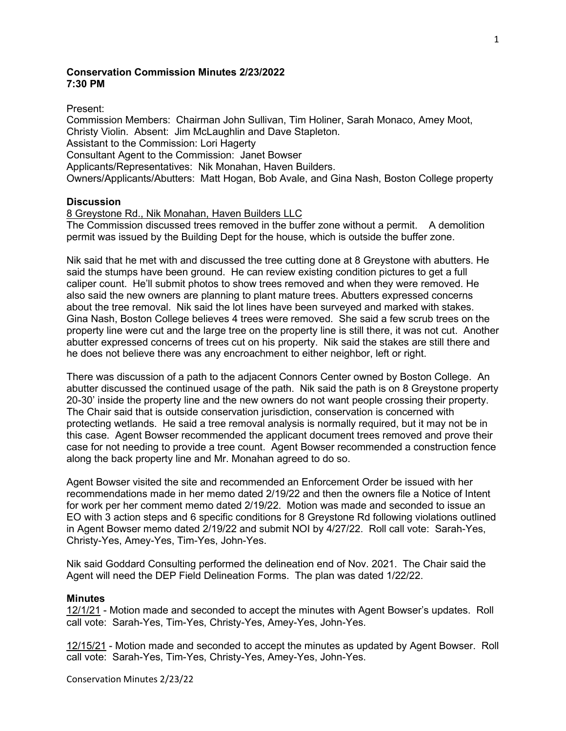# **Conservation Commission Minutes 2/23/2022 7:30 PM**

#### Present:

Commission Members: Chairman John Sullivan, Tim Holiner, Sarah Monaco, Amey Moot, Christy Violin. Absent: Jim McLaughlin and Dave Stapleton. Assistant to the Commission: Lori Hagerty Consultant Agent to the Commission: Janet Bowser Applicants/Representatives: Nik Monahan, Haven Builders. Owners/Applicants/Abutters: Matt Hogan, Bob Avale, and Gina Nash, Boston College property

#### **Discussion**

## 8 Greystone Rd., Nik Monahan, Haven Builders LLC

The Commission discussed trees removed in the buffer zone without a permit. A demolition permit was issued by the Building Dept for the house, which is outside the buffer zone.

Nik said that he met with and discussed the tree cutting done at 8 Greystone with abutters. He said the stumps have been ground. He can review existing condition pictures to get a full caliper count. He'll submit photos to show trees removed and when they were removed. He also said the new owners are planning to plant mature trees. Abutters expressed concerns about the tree removal. Nik said the lot lines have been surveyed and marked with stakes. Gina Nash, Boston College believes 4 trees were removed. She said a few scrub trees on the property line were cut and the large tree on the property line is still there, it was not cut. Another abutter expressed concerns of trees cut on his property. Nik said the stakes are still there and he does not believe there was any encroachment to either neighbor, left or right.

There was discussion of a path to the adjacent Connors Center owned by Boston College. An abutter discussed the continued usage of the path. Nik said the path is on 8 Greystone property 20-30' inside the property line and the new owners do not want people crossing their property. The Chair said that is outside conservation jurisdiction, conservation is concerned with protecting wetlands. He said a tree removal analysis is normally required, but it may not be in this case. Agent Bowser recommended the applicant document trees removed and prove their case for not needing to provide a tree count. Agent Bowser recommended a construction fence along the back property line and Mr. Monahan agreed to do so.

Agent Bowser visited the site and recommended an Enforcement Order be issued with her recommendations made in her memo dated 2/19/22 and then the owners file a Notice of Intent for work per her comment memo dated 2/19/22. Motion was made and seconded to issue an EO with 3 action steps and 6 specific conditions for 8 Greystone Rd following violations outlined in Agent Bowser memo dated 2/19/22 and submit NOI by 4/27/22. Roll call vote: Sarah-Yes, Christy-Yes, Amey-Yes, Tim-Yes, John-Yes.

Nik said Goddard Consulting performed the delineation end of Nov. 2021. The Chair said the Agent will need the DEP Field Delineation Forms. The plan was dated 1/22/22.

#### **Minutes**

12/1/21 - Motion made and seconded to accept the minutes with Agent Bowser's updates. Roll call vote: Sarah-Yes, Tim-Yes, Christy-Yes, Amey-Yes, John-Yes.

12/15/21 - Motion made and seconded to accept the minutes as updated by Agent Bowser. Roll call vote: Sarah-Yes, Tim-Yes, Christy-Yes, Amey-Yes, John-Yes.

Conservation Minutes 2/23/22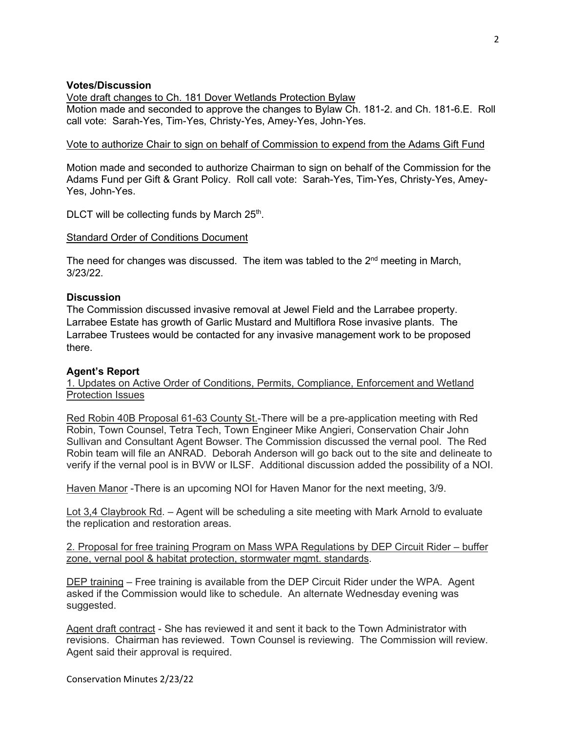## **Votes/Discussion**

Vote draft changes to Ch. 181 Dover Wetlands Protection Bylaw

Motion made and seconded to approve the changes to Bylaw Ch. 181-2. and Ch. 181-6.E. Roll call vote: Sarah-Yes, Tim-Yes, Christy-Yes, Amey-Yes, John-Yes.

## Vote to authorize Chair to sign on behalf of Commission to expend from the Adams Gift Fund

Motion made and seconded to authorize Chairman to sign on behalf of the Commission for the Adams Fund per Gift & Grant Policy. Roll call vote: Sarah-Yes, Tim-Yes, Christy-Yes, Amey-Yes, John-Yes.

DLCT will be collecting funds by March  $25<sup>th</sup>$ .

## Standard Order of Conditions Document

The need for changes was discussed. The item was tabled to the  $2^{nd}$  meeting in March, 3/23/22.

## **Discussion**

The Commission discussed invasive removal at Jewel Field and the Larrabee property. Larrabee Estate has growth of Garlic Mustard and Multiflora Rose invasive plants. The Larrabee Trustees would be contacted for any invasive management work to be proposed there.

## **Agent's Report**

1. Updates on Active Order of Conditions, Permits, Compliance, Enforcement and Wetland Protection Issues

Red Robin 40B Proposal 61-63 County St.-There will be a pre-application meeting with Red Robin, Town Counsel, Tetra Tech, Town Engineer Mike Angieri, Conservation Chair John Sullivan and Consultant Agent Bowser. The Commission discussed the vernal pool. The Red Robin team will file an ANRAD. Deborah Anderson will go back out to the site and delineate to verify if the vernal pool is in BVW or ILSF. Additional discussion added the possibility of a NOI.

Haven Manor -There is an upcoming NOI for Haven Manor for the next meeting, 3/9.

Lot 3,4 Claybrook Rd. – Agent will be scheduling a site meeting with Mark Arnold to evaluate the replication and restoration areas.

## 2. Proposal for free training Program on Mass WPA Regulations by DEP Circuit Rider – buffer zone, vernal pool & habitat protection, stormwater mgmt. standards.

DEP training – Free training is available from the DEP Circuit Rider under the WPA. Agent asked if the Commission would like to schedule. An alternate Wednesday evening was suggested.

Agent draft contract - She has reviewed it and sent it back to the Town Administrator with revisions. Chairman has reviewed. Town Counsel is reviewing. The Commission will review. Agent said their approval is required.